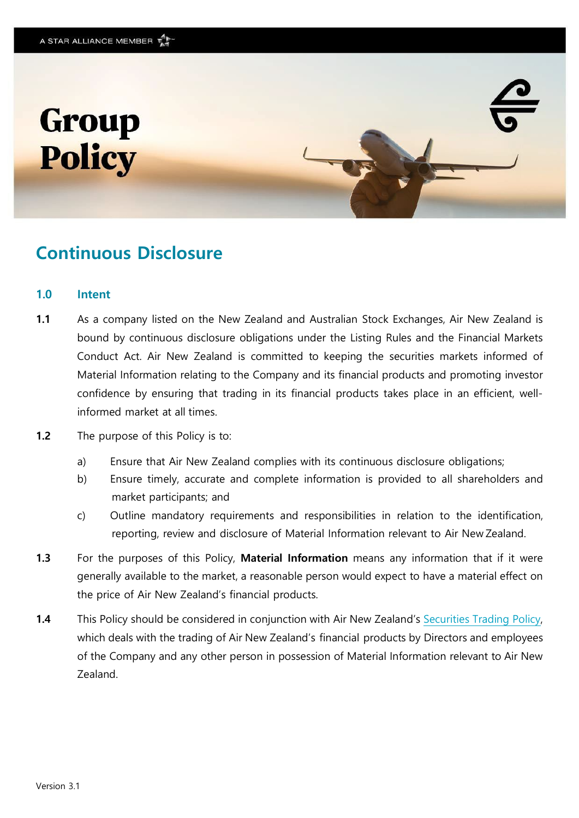



# **Continuous Disclosure**

#### **1.0 Intent**

- **1.1** As a company listed on the New Zealand and Australian Stock Exchanges, Air New Zealand is bound by continuous disclosure obligations under the Listing Rules and the Financial Markets Conduct Act. Air New Zealand is committed to keeping the securities markets informed of Material Information relating to the Company and its financial products and promoting investor confidence by ensuring that trading in its financial products takes place in an efficient, wellinformed market at all times.
- **1.2** The purpose of this Policy is to:
	- a) Ensure that Air New Zealand complies with its continuous disclosure obligations;
	- b) Ensure timely, accurate and complete information is provided to all shareholders and market participants; and
	- c) Outline mandatory requirements and responsibilities in relation to the identification, reporting, review and disclosure of Material Information relevant to Air New Zealand.
- **1.3** For the purposes of this Policy, **Material Information** means any information that if it were generally available to the market, a reasonable person would expect to have a material effect on the price of Air New Zealand's financial products.
- **1.4** This Policy should be considered in conjunction with Air New Zealand's [Securities Trading](https://www.airnewzealand.co.nz/corporate-governance-policies) [Policy,](https://korunet.co.nz/dnn6/DesktopModules/AirNZ.Modules.DocumentLibrary/MediaFile/2013_12/Securities%20Trading%20Policy.pdf) which deals with the trading of Air New Zealand's financial products by Directors and employees of the Company and any other person in possession of Material Information relevant to Air New Zealand.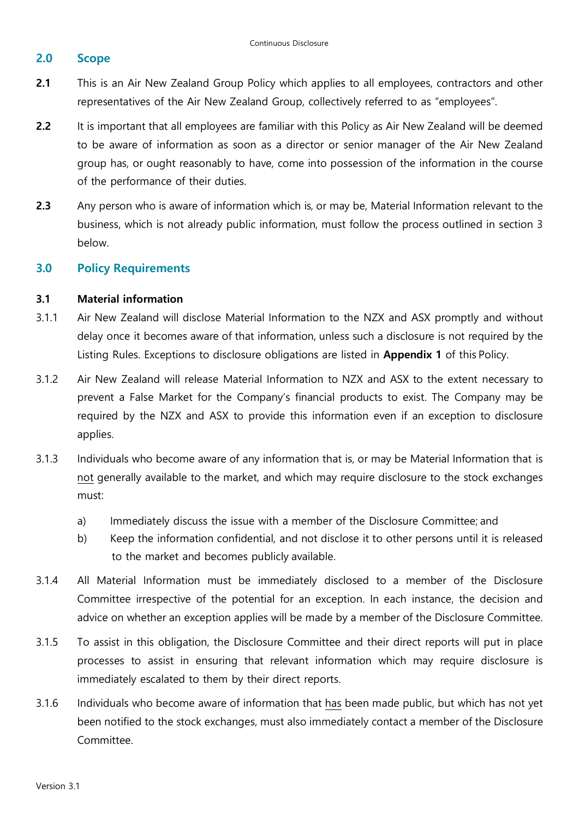# **2.0 Scope**

- **2.1** This is an Air New Zealand Group Policy which applies to all employees, contractors and other representatives of the Air New Zealand Group, collectively referred to as "employees".
- **2.2** It is important that all employees are familiar with this Policy as Air New Zealand will be deemed to be aware of information as soon as a director or senior manager of the Air New Zealand group has, or ought reasonably to have, come into possession of the information in the course of the performance of their duties.
- **2.3** Any person who is aware of information which is, or may be, Material Information relevant to the business, which is not already public information, must follow the process outlined in section 3 below.

# **3.0 Policy Requirements**

## **3.1 Material information**

- 3.1.1 Air New Zealand will disclose Material Information to the NZX and ASX promptly and without delay once it becomes aware of that information, unless such a disclosure is not required by the Listing Rules. Exceptions to disclosure obligations are listed in **Appendix 1** of this Policy.
- 3.1.2 Air New Zealand will release Material Information to NZX and ASX to the extent necessary to prevent a False Market for the Company's financial products to exist. The Company may be required by the NZX and ASX to provide this information even if an exception to disclosure applies.
- 3.1.3 Individuals who become aware of any information that is, or may be Material Information that is not generally available to the market, and which may require disclosure to the stock exchanges must:
	- a) Immediately discuss the issue with a member of the Disclosure Committee; and
	- b) Keep the information confidential, and not disclose it to other persons until it is released to the market and becomes publicly available.
- 3.1.4 All Material Information must be immediately disclosed to a member of the Disclosure Committee irrespective of the potential for an exception. In each instance, the decision and advice on whether an exception applies will be made by a member of the Disclosure Committee.
- 3.1.5 To assist in this obligation, the Disclosure Committee and their direct reports will put in place processes to assist in ensuring that relevant information which may require disclosure is immediately escalated to them by their direct reports.
- 3.1.6 Individuals who become aware of information that has been made public, but which has not yet been notified to the stock exchanges, must also immediately contact a member of the Disclosure Committee.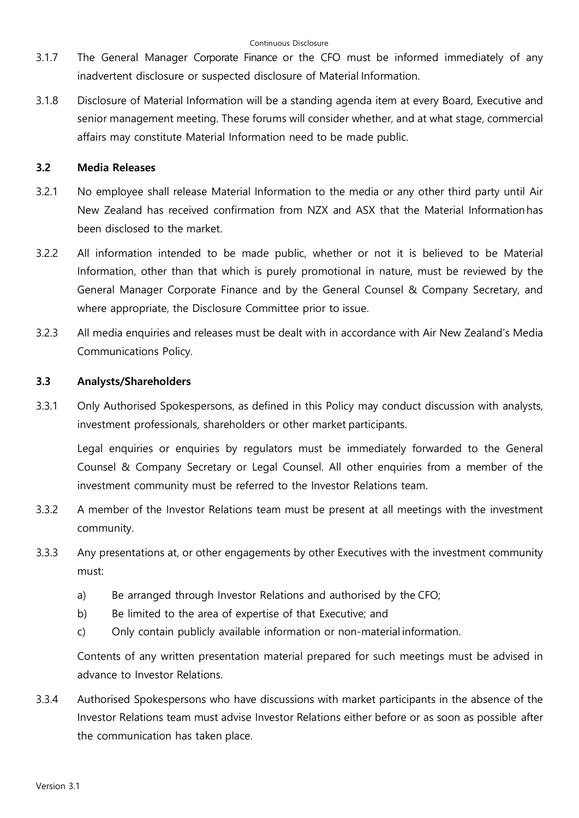- 3.1.7 The General Manager Corporate Finance or the CFO must be informed immediately of any inadvertent disclosure or suspected disclosure of Material Information.
- 3.1.8 Disclosure of Material Information will be a standing agenda item at every Board, Executive and senior management meeting. These forums will consider whether, and at what stage, commercial affairs may constitute Material Information need to be made public.

# **3.2 Media Releases**

- 3.2.1 No employee shall release Material Information to the media or any other third party until Air New Zealand has received confirmation from NZX and ASX that the Material Informationhas been disclosed to the market.
- 3.2.2 All information intended to be made public, whether or not it is believed to be Material Information, other than that which is purely promotional in nature, must be reviewed by the General Manager Corporate Finance and by the General Counsel & Company Secretary, and where appropriate, the Disclosure Committee prior to issue.
- 3.2.3 All media enquiries and releases must be dealt with in accordance with Air New Zealand's Media Communications Policy.

# **3.3 Analysts/Shareholders**

3.3.1 Only Authorised Spokespersons, as defined in this Policy may conduct discussion with analysts, investment professionals, shareholders or other market participants.

Legal enquiries or enquiries by regulators must be immediately forwarded to the General Counsel & Company Secretary or Legal Counsel. All other enquiries from a member of the investment community must be referred to the Investor Relations team.

- 3.3.2 A member of the Investor Relations team must be present at all meetings with the investment community.
- 3.3.3 Any presentations at, or other engagements by other Executives with the investment community must:
	- a) Be arranged through Investor Relations and authorised by the CFO;
	- b) Be limited to the area of expertise of that Executive; and
	- c) Only contain publicly available information or non-material information.

Contents of any written presentation material prepared for such meetings must be advised in advance to Investor Relations.

3.3.4 Authorised Spokespersons who have discussions with market participants in the absence of the Investor Relations team must advise Investor Relations either before or as soon as possible after the communication has taken place.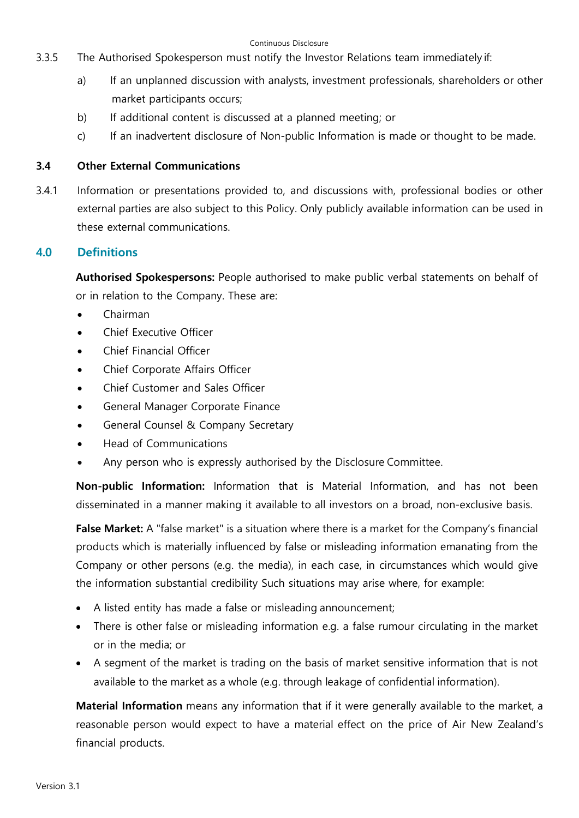#### Continuous Disclosure

- 3.3.5 The Authorised Spokesperson must notify the Investor Relations team immediately if:
	- a) If an unplanned discussion with analysts, investment professionals, shareholders or other market participants occurs;
	- b) If additional content is discussed at a planned meeting; or
	- c) If an inadvertent disclosure of Non-public Information is made or thought to be made.

# **3.4 Other External Communications**

3.4.1 Information or presentations provided to, and discussions with, professional bodies or other external parties are also subject to this Policy. Only publicly available information can be used in these external communications.

# **4.0 Definitions**

**Authorised Spokespersons:** People authorised to make public verbal statements on behalf of or in relation to the Company. These are:

- Chairman
- Chief Executive Officer
- Chief Financial Officer
- Chief Corporate Affairs Officer
- Chief Customer and Sales Officer
- General Manager Corporate Finance
- General Counsel & Company Secretary
- Head of Communications
- Any person who is expressly authorised by the Disclosure Committee.

**Non-public Information:** Information that is Material Information, and has not been disseminated in a manner making it available to all investors on a broad, non-exclusive basis.

**False Market:** A "false market" is a situation where there is a market for the Company's financial products which is materially influenced by false or misleading information emanating from the Company or other persons (e.g. the media), in each case, in circumstances which would give the information substantial credibility Such situations may arise where, for example:

- A listed entity has made a false or misleading announcement;
- There is other false or misleading information e.g. a false rumour circulating in the market or in the media; or
- A segment of the market is trading on the basis of market sensitive information that is not available to the market as a whole (e.g. through leakage of confidential information).

**Material Information** means any information that if it were generally available to the market, a reasonable person would expect to have a material effect on the price of Air New Zealand's financial products.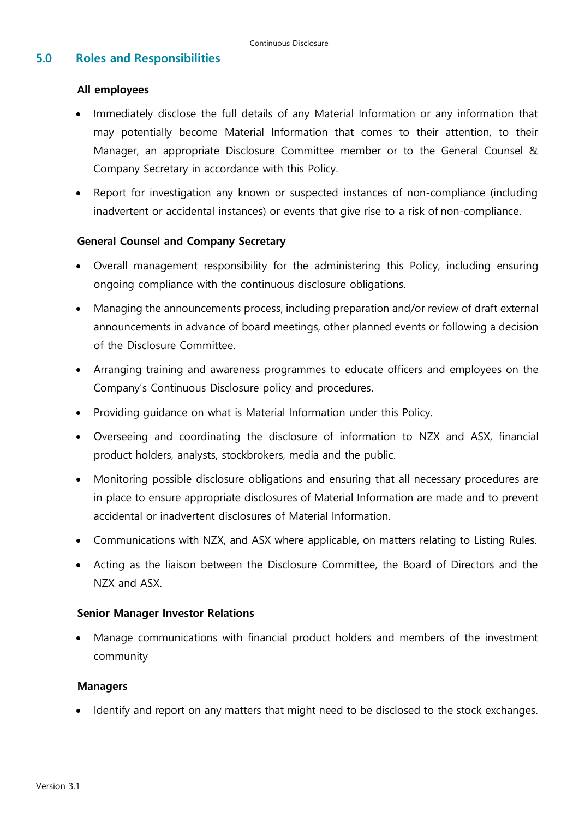# **5.0 Roles and Responsibilities**

## **All employees**

- Immediately disclose the full details of any Material Information or any information that may potentially become Material Information that comes to their attention, to their Manager, an appropriate Disclosure Committee member or to the General Counsel & Company Secretary in accordance with this Policy.
- Report for investigation any known or suspected instances of non-compliance (including inadvertent or accidental instances) or events that give rise to a risk of non-compliance.

# **General Counsel and Company Secretary**

- Overall management responsibility for the administering this Policy, including ensuring ongoing compliance with the continuous disclosure obligations.
- Managing the announcements process, including preparation and/or review of draft external announcements in advance of board meetings, other planned events or following a decision of the Disclosure Committee.
- Arranging training and awareness programmes to educate officers and employees on the Company's Continuous Disclosure policy and procedures.
- Providing guidance on what is Material Information under this Policy.
- Overseeing and coordinating the disclosure of information to NZX and ASX, financial product holders, analysts, stockbrokers, media and the public.
- Monitoring possible disclosure obligations and ensuring that all necessary procedures are in place to ensure appropriate disclosures of Material Information are made and to prevent accidental or inadvertent disclosures of Material Information.
- Communications with NZX, and ASX where applicable, on matters relating to Listing Rules.
- Acting as the liaison between the Disclosure Committee, the Board of Directors and the NZX and ASX.

## **Senior Manager Investor Relations**

• Manage communications with financial product holders and members of the investment community

#### **Managers**

• Identify and report on any matters that might need to be disclosed to the stock exchanges.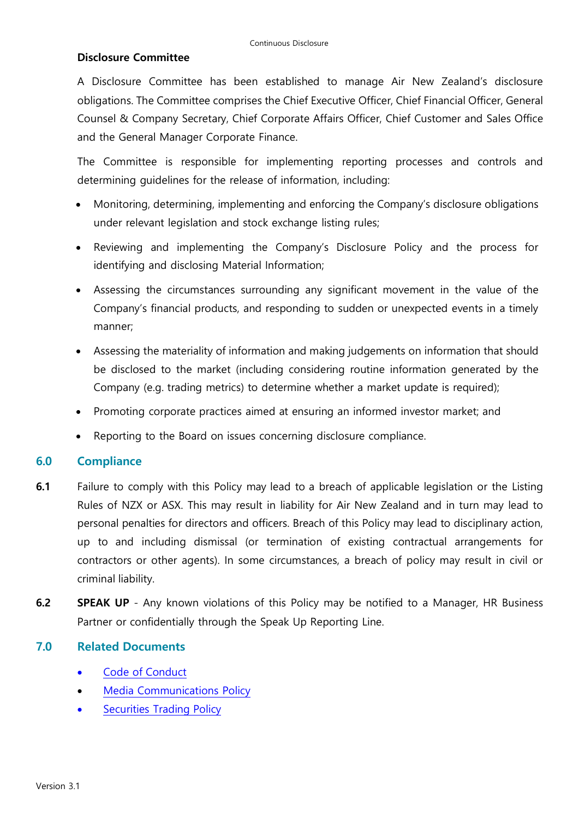## **Disclosure Committee**

A Disclosure Committee has been established to manage Air New Zealand's disclosure obligations. The Committee comprises the Chief Executive Officer, Chief Financial Officer, General Counsel & Company Secretary, Chief Corporate Affairs Officer, Chief Customer and Sales Office and the General Manager Corporate Finance.

The Committee is responsible for implementing reporting processes and controls and determining guidelines for the release of information, including:

- Monitoring, determining, implementing and enforcing the Company's disclosure obligations under relevant legislation and stock exchange listing rules;
- Reviewing and implementing the Company's Disclosure Policy and the process for identifying and disclosing Material Information;
- Assessing the circumstances surrounding any significant movement in the value of the Company's financial products, and responding to sudden or unexpected events in a timely manner;
- Assessing the materiality of information and making judgements on information that should be disclosed to the market (including considering routine information generated by the Company (e.g. trading metrics) to determine whether a market update is required);
- Promoting corporate practices aimed at ensuring an informed investor market; and
- Reporting to the Board on issues concerning disclosure compliance.

# **6.0 Compliance**

- **6.1** Failure to comply with this Policy may lead to a breach of applicable legislation or the Listing Rules of NZX or ASX. This may result in liability for Air New Zealand and in turn may lead to personal penalties for directors and officers. Breach of this Policy may lead to disciplinary action, up to and including dismissal (or termination of existing contractual arrangements for contractors or other agents). In some circumstances, a breach of policy may result in civil or criminal liability.
- **6.2 SPEAK UP**  Any known violations of this Policy may be notified to a Manager, HR Business Partner or confidentially through the Speak Up Reporting Line.

# **7.0 Related Documents**

- Code of [Conduct](https://www.airnewzealand.co.nz/corporate-governance-policies)
- [Media Communications Policy](https://shareit.korunet.co.nz/site/policydev/publishedpolicies/Media%20Communications%20Policy.pdf)
- **[Securities Trading](https://www.airnewzealand.co.nz/corporate-governance-policies) Policy**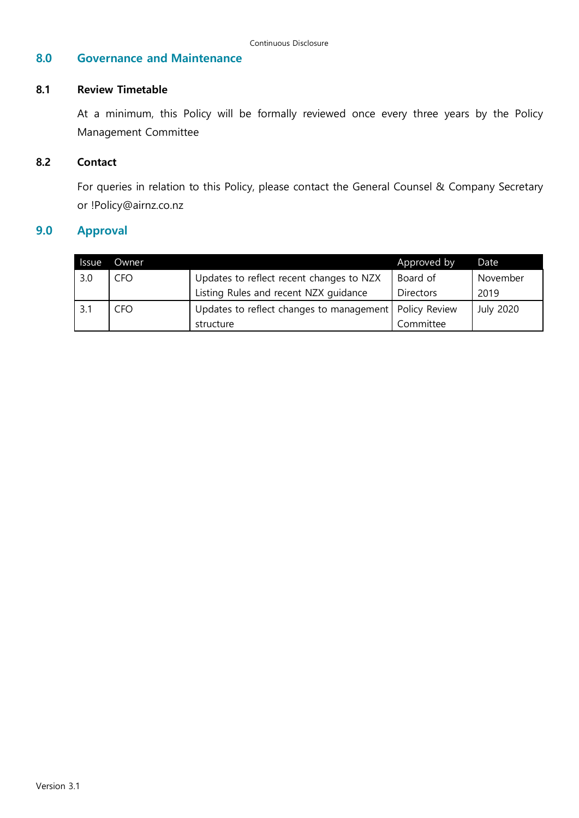#### **8.0 Governance and Maintenance**

#### **8.1 Review Timetable**

At a minimum, this Policy will be formally reviewed once every three years by the Policy Management Committee

#### **8.2 Contact**

For queries in relation to this Policy, please contact the General Counsel & Company Secretary or !Policy@airnz.co.nz

# **9.0 Approval**

| <b>Issue</b> | Owner |                                                          | Approved by      | Date             |
|--------------|-------|----------------------------------------------------------|------------------|------------------|
| 3.0          | CFO   | Updates to reflect recent changes to NZX                 | Board of         | November         |
|              |       | Listing Rules and recent NZX guidance                    | <b>Directors</b> | 2019             |
|              | . FO- | Updates to reflect changes to management   Policy Review |                  | <b>July 2020</b> |
|              |       | structure                                                | Committee        |                  |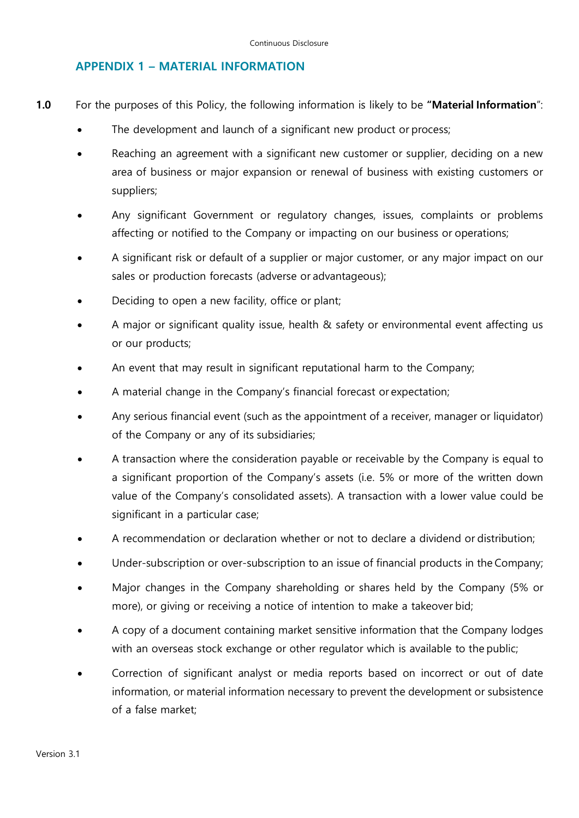## **APPENDIX 1 – MATERIAL INFORMATION**

- **1.0** For the purposes of this Policy, the following information is likely to be **"Material Information**":
	- The development and launch of a significant new product or process;
	- Reaching an agreement with a significant new customer or supplier, deciding on a new area of business or major expansion or renewal of business with existing customers or suppliers;
	- Any significant Government or regulatory changes, issues, complaints or problems affecting or notified to the Company or impacting on our business or operations;
	- A significant risk or default of a supplier or major customer, or any major impact on our sales or production forecasts (adverse or advantageous);
	- Deciding to open a new facility, office or plant;
	- A major or significant quality issue, health & safety or environmental event affecting us or our products;
	- An event that may result in significant reputational harm to the Company;
	- A material change in the Company's financial forecast or expectation;
	- Any serious financial event (such as the appointment of a receiver, manager or liquidator) of the Company or any of its subsidiaries;
	- A transaction where the consideration payable or receivable by the Company is equal to a significant proportion of the Company's assets (i.e. 5% or more of the written down value of the Company's consolidated assets). A transaction with a lower value could be significant in a particular case;
	- A recommendation or declaration whether or not to declare a dividend or distribution;
	- Under-subscription or over-subscription to an issue of financial products in the Company;
	- Major changes in the Company shareholding or shares held by the Company (5% or more), or giving or receiving a notice of intention to make a takeover bid;
	- A copy of a document containing market sensitive information that the Company lodges with an overseas stock exchange or other regulator which is available to the public;
	- Correction of significant analyst or media reports based on incorrect or out of date information, or material information necessary to prevent the development or subsistence of a false market;